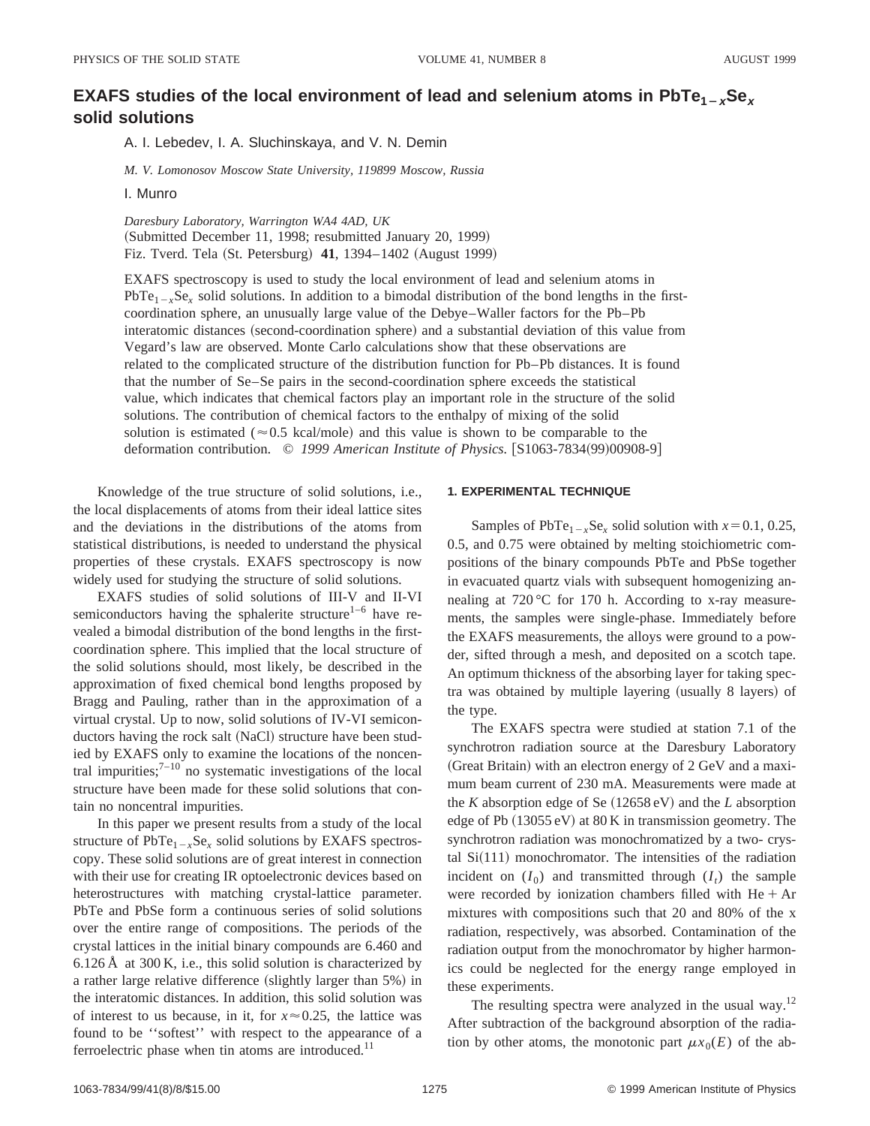# **EXAFS studies of the local environment of lead and selenium atoms in**  $PbTe_{1-x}Se_x$ **solid solutions**

A. I. Lebedev, I. A. Sluchinskaya, and V. N. Demin

*M. V. Lomonosov Moscow State University, 119899 Moscow, Russia*

I. Munro

*Daresbury Laboratory, Warrington WA4 4AD, UK* (Submitted December 11, 1998; resubmitted January 20, 1999) Fiz. Tverd. Tela (St. Petersburg) 41, 1394–1402 (August 1999)

EXAFS spectroscopy is used to study the local environment of lead and selenium atoms in PbTe<sub>1-x</sub>Se<sub>x</sub> solid solutions. In addition to a bimodal distribution of the bond lengths in the firstcoordination sphere, an unusually large value of the Debye–Waller factors for the Pb–Pb interatomic distances (second-coordination sphere) and a substantial deviation of this value from Vegard's law are observed. Monte Carlo calculations show that these observations are related to the complicated structure of the distribution function for Pb–Pb distances. It is found that the number of Se–Se pairs in the second-coordination sphere exceeds the statistical value, which indicates that chemical factors play an important role in the structure of the solid solutions. The contribution of chemical factors to the enthalpy of mixing of the solid solution is estimated ( $\approx$  0.5 kcal/mole) and this value is shown to be comparable to the deformation contribution. © 1999 American Institute of Physics. [S1063-7834(99)00908-9]

Knowledge of the true structure of solid solutions, i.e., the local displacements of atoms from their ideal lattice sites and the deviations in the distributions of the atoms from statistical distributions, is needed to understand the physical properties of these crystals. EXAFS spectroscopy is now widely used for studying the structure of solid solutions.

EXAFS studies of solid solutions of III-V and II-VI semiconductors having the sphalerite structure<sup>1–6</sup> have revealed a bimodal distribution of the bond lengths in the firstcoordination sphere. This implied that the local structure of the solid solutions should, most likely, be described in the approximation of fixed chemical bond lengths proposed by Bragg and Pauling, rather than in the approximation of a virtual crystal. Up to now, solid solutions of IV-VI semiconductors having the rock salt (NaCl) structure have been studied by EXAFS only to examine the locations of the noncentral impurities; $^{7-10}$  no systematic investigations of the local structure have been made for these solid solutions that contain no noncentral impurities.

In this paper we present results from a study of the local structure of  $PbTe_{1-x}Se_x$  solid solutions by EXAFS spectroscopy. These solid solutions are of great interest in connection with their use for creating IR optoelectronic devices based on heterostructures with matching crystal-lattice parameter. PbTe and PbSe form a continuous series of solid solutions over the entire range of compositions. The periods of the crystal lattices in the initial binary compounds are 6.460 and 6.126 Å at 300 K, i.e., this solid solution is characterized by a rather large relative difference (slightly larger than 5%) in the interatomic distances. In addition, this solid solution was of interest to us because, in it, for  $x \approx 0.25$ , the lattice was found to be ''softest'' with respect to the appearance of a ferroelectric phase when tin atoms are introduced. $^{11}$ 

## **1. EXPERIMENTAL TECHNIQUE**

Samples of PbTe<sub>1-x</sub>Se<sub>x</sub> solid solution with  $x=0.1, 0.25$ , 0.5, and 0.75 were obtained by melting stoichiometric compositions of the binary compounds PbTe and PbSe together in evacuated quartz vials with subsequent homogenizing annealing at 720 °C for 170 h. According to x-ray measurements, the samples were single-phase. Immediately before the EXAFS measurements, the alloys were ground to a powder, sifted through a mesh, and deposited on a scotch tape. An optimum thickness of the absorbing layer for taking spectra was obtained by multiple layering (usually 8 layers) of the type.

The EXAFS spectra were studied at station 7.1 of the synchrotron radiation source at the Daresbury Laboratory (Great Britain) with an electron energy of  $2 \text{ GeV}$  and a maximum beam current of 230 mA. Measurements were made at the *K* absorption edge of Se  $(12658 \text{ eV})$  and the *L* absorption edge of Pb  $(13055 \text{ eV})$  at 80 K in transmission geometry. The synchrotron radiation was monochromatized by a two- crystal  $Si(111)$  monochromator. The intensities of the radiation incident on  $(I_0)$  and transmitted through  $(I_t)$  the sample were recorded by ionization chambers filled with  $He + Ar$ mixtures with compositions such that 20 and 80% of the x radiation, respectively, was absorbed. Contamination of the radiation output from the monochromator by higher harmonics could be neglected for the energy range employed in these experiments.

The resulting spectra were analyzed in the usual way.<sup>12</sup> After subtraction of the background absorption of the radiation by other atoms, the monotonic part  $\mu x_0(E)$  of the ab-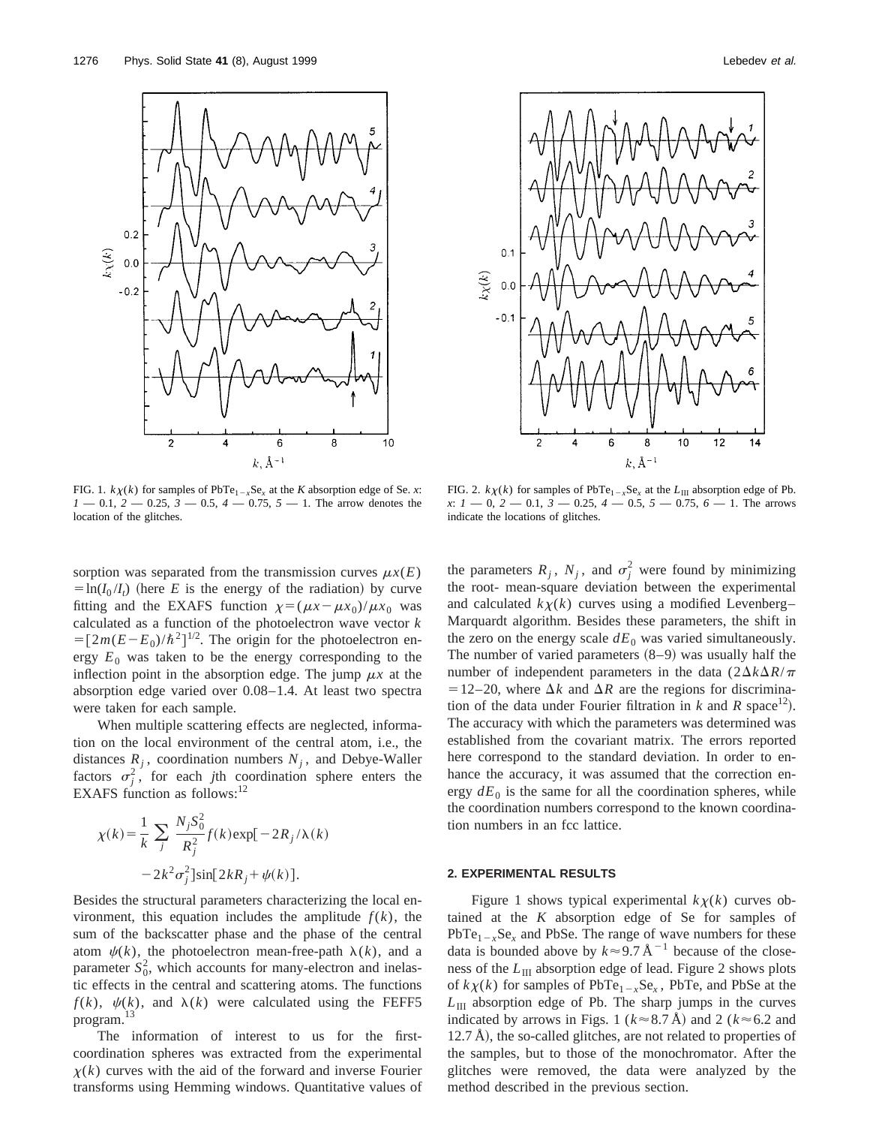



FIG. 1.  $k\chi(k)$  for samples of PbTe<sub>1-*x*</sub>Se<sub>*x*</sub> at the *K* absorption edge of Se. *x*:  $1 - 0.1$ ,  $2 - 0.25$ ,  $3 - 0.5$ ,  $4 - 0.75$ ,  $5 - 1$ . The arrow denotes the location of the glitches.

sorption was separated from the transmission curves  $\mu x(E)$  $=$ ln( $I_0 / I_t$ ) (here *E* is the energy of the radiation) by curve fitting and the EXAFS function  $\chi = (\mu x - \mu x_0)/\mu x_0$  was calculated as a function of the photoelectron wave vector *k*  $=[2m(E-E_0)/\hbar^2]^{1/2}$ . The origin for the photoelectron energy  $E_0$  was taken to be the energy corresponding to the inflection point in the absorption edge. The jump  $\mu x$  at the absorption edge varied over 0.08–1.4. At least two spectra were taken for each sample.

When multiple scattering effects are neglected, information on the local environment of the central atom, i.e., the distances  $R_i$ , coordination numbers  $N_i$ , and Debye-Waller factors  $\sigma_j^2$ , for each *j*th coordination sphere enters the EXAFS function as follows: $12$ 

$$
\chi(k) = \frac{1}{k} \sum_{j} \frac{N_j S_0^2}{R_j^2} f(k) \exp[-2R_j/\lambda(k)]
$$

$$
-2k^2 \sigma_j^2 \sin[2kR_j + \psi(k)].
$$

Besides the structural parameters characterizing the local environment, this equation includes the amplitude  $f(k)$ , the sum of the backscatter phase and the phase of the central atom  $\psi(k)$ , the photoelectron mean-free-path  $\lambda(k)$ , and a parameter  $S_0^2$ , which accounts for many-electron and inelastic effects in the central and scattering atoms. The functions  $f(k)$ ,  $\psi(k)$ , and  $\lambda(k)$  were calculated using the FEFF5 program.13

The information of interest to us for the firstcoordination spheres was extracted from the experimental  $\chi(k)$  curves with the aid of the forward and inverse Fourier transforms using Hemming windows. Quantitative values of

FIG. 2.  $k\chi(k)$  for samples of PbTe<sub>1-*x*</sub>Se<sub>*x*</sub> at the  $L_{\text{III}}$  absorption edge of Pb. *x*: *1* — 0, *2* — 0.1, *3* — 0.25, *4* — 0.5, *5* — 0.75, *6* — 1. The arrows indicate the locations of glitches.

the parameters  $R_j$ ,  $N_j$ , and  $\sigma_j^2$  were found by minimizing the root- mean-square deviation between the experimental and calculated  $k\chi(k)$  curves using a modified Levenberg– Marquardt algorithm. Besides these parameters, the shift in the zero on the energy scale  $dE_0$  was varied simultaneously. The number of varied parameters  $(8-9)$  was usually half the number of independent parameters in the data  $(2\Delta k\Delta R/\pi)$  $=12-20$ , where  $\Delta k$  and  $\Delta R$  are the regions for discrimination of the data under Fourier filtration in  $k$  and  $R$  space<sup>12</sup>). The accuracy with which the parameters was determined was established from the covariant matrix. The errors reported here correspond to the standard deviation. In order to enhance the accuracy, it was assumed that the correction energy  $dE_0$  is the same for all the coordination spheres, while the coordination numbers correspond to the known coordination numbers in an fcc lattice.

#### **2. EXPERIMENTAL RESULTS**

Figure 1 shows typical experimental  $k\chi(k)$  curves obtained at the *K* absorption edge of Se for samples of  $PbTe_{1-x}Se_x$  and PbSe. The range of wave numbers for these data is bounded above by  $k \approx 9.7 \text{ Å}^{-1}$  because of the closeness of the *L*<sub>III</sub> absorption edge of lead. Figure 2 shows plots of  $k\chi(k)$  for samples of PbTe<sub>1-*x*</sub>Se<sub>*x*</sub>, PbTe, and PbSe at the *L*III absorption edge of Pb. The sharp jumps in the curves indicated by arrows in Figs. 1 ( $k \approx 8.7$  Å) and 2 ( $k \approx 6.2$  and  $12.7$  Å), the so-called glitches, are not related to properties of the samples, but to those of the monochromator. After the glitches were removed, the data were analyzed by the method described in the previous section.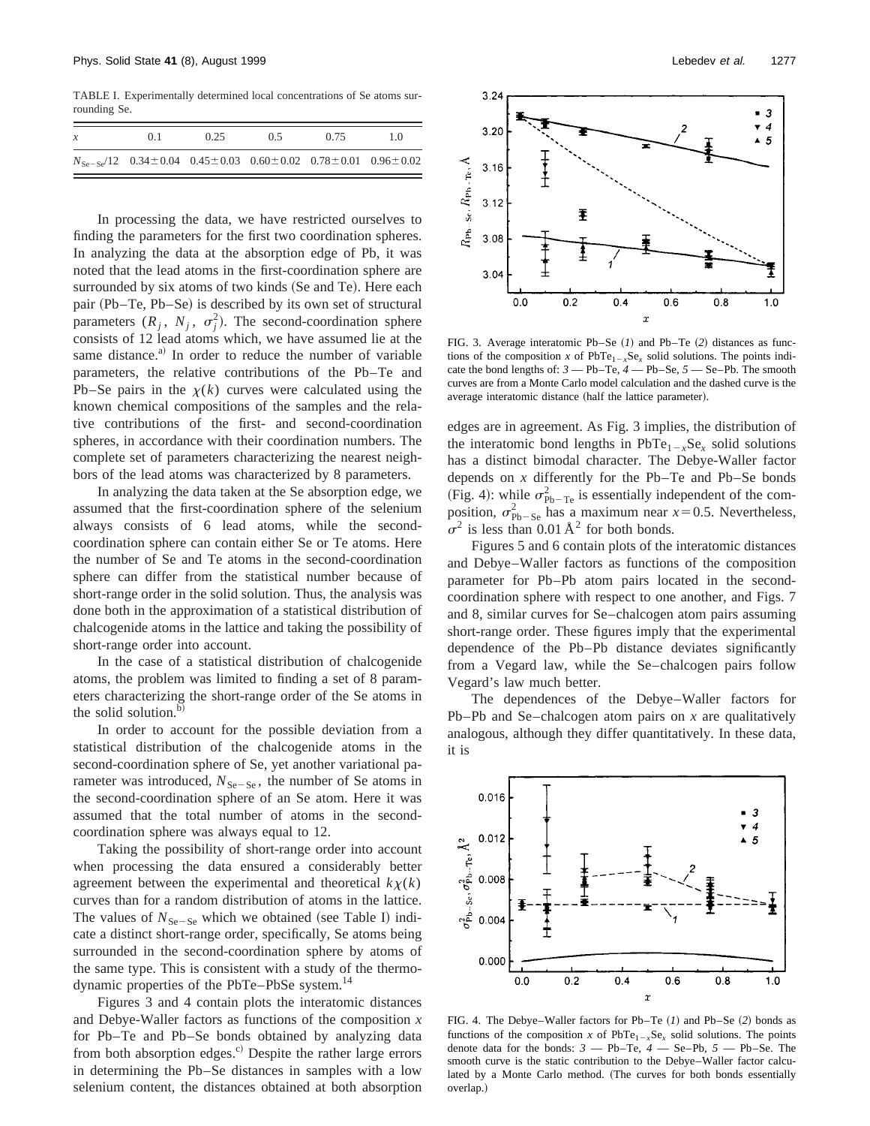TABLE I. Experimentally determined local concentrations of Se atoms surrounding Se.

| $\mathcal{X}$ | 0.1                                                                               | 0.25 | 0.5 | 0.75 | 10 |
|---------------|-----------------------------------------------------------------------------------|------|-----|------|----|
|               | $N_{\text{Se-Se}}/12$ 0.34 ± 0.04 0.45 ± 0.03 0.60 ± 0.02 0.78 ± 0.01 0.96 ± 0.02 |      |     |      |    |

In processing the data, we have restricted ourselves to finding the parameters for the first two coordination spheres. In analyzing the data at the absorption edge of Pb, it was noted that the lead atoms in the first-coordination sphere are surrounded by six atoms of two kinds (Se and Te). Here each pair (Pb–Te, Pb–Se) is described by its own set of structural parameters  $(R_j, N_j, \sigma_j^2)$ . The second-coordination sphere consists of 12 lead atoms which, we have assumed lie at the same distance.<sup>a)</sup> In order to reduce the number of variable parameters, the relative contributions of the Pb–Te and Pb–Se pairs in the  $\chi(k)$  curves were calculated using the known chemical compositions of the samples and the relative contributions of the first- and second-coordination spheres, in accordance with their coordination numbers. The complete set of parameters characterizing the nearest neighbors of the lead atoms was characterized by 8 parameters.

In analyzing the data taken at the Se absorption edge, we assumed that the first-coordination sphere of the selenium always consists of 6 lead atoms, while the secondcoordination sphere can contain either Se or Te atoms. Here the number of Se and Te atoms in the second-coordination sphere can differ from the statistical number because of short-range order in the solid solution. Thus, the analysis was done both in the approximation of a statistical distribution of chalcogenide atoms in the lattice and taking the possibility of short-range order into account.

In the case of a statistical distribution of chalcogenide atoms, the problem was limited to finding a set of 8 parameters characterizing the short-range order of the Se atoms in the solid solution. $<sup>b</sup>$ </sup>

In order to account for the possible deviation from a statistical distribution of the chalcogenide atoms in the second-coordination sphere of Se, yet another variational parameter was introduced,  $N_{\text{Se}-\text{Se}}$ , the number of Se atoms in the second-coordination sphere of an Se atom. Here it was assumed that the total number of atoms in the secondcoordination sphere was always equal to 12.

Taking the possibility of short-range order into account when processing the data ensured a considerably better agreement between the experimental and theoretical  $k\chi(k)$ curves than for a random distribution of atoms in the lattice. The values of  $N_{\text{Se-Se}}$  which we obtained (see Table I) indicate a distinct short-range order, specifically, Se atoms being surrounded in the second-coordination sphere by atoms of the same type. This is consistent with a study of the thermodynamic properties of the PbTe–PbSe system.<sup>14</sup>

Figures 3 and 4 contain plots the interatomic distances and Debye-Waller factors as functions of the composition *x* for Pb–Te and Pb–Se bonds obtained by analyzing data from both absorption edges. $\degree$  Despite the rather large errors in determining the Pb–Se distances in samples with a low selenium content, the distances obtained at both absorption



FIG. 3. Average interatomic Pb–Se  $(I)$  and Pb–Te  $(2)$  distances as functions of the composition *x* of  $PbTe_{1-x}Se_x$  solid solutions. The points indicate the bond lengths of: *3* — Pb–Te, *4* — Pb–Se, *5* — Se–Pb. The smooth curves are from a Monte Carlo model calculation and the dashed curve is the average interatomic distance (half the lattice parameter).

edges are in agreement. As Fig. 3 implies, the distribution of the interatomic bond lengths in  $PbTe_{1-x}Se_x$  solid solutions has a distinct bimodal character. The Debye-Waller factor depends on *x* differently for the Pb–Te and Pb–Se bonds (Fig. 4): while  $\sigma_{\text{Pb}-\text{Te}}^2$  is essentially independent of the composition,  $\sigma_{\text{Pb-Se}}^2$  has a maximum near  $x=0.5$ . Nevertheless,  $\sigma^2$  is less than 0.01 Å<sup>2</sup> for both bonds.

Figures 5 and 6 contain plots of the interatomic distances and Debye–Waller factors as functions of the composition parameter for Pb–Pb atom pairs located in the secondcoordination sphere with respect to one another, and Figs. 7 and 8, similar curves for Se–chalcogen atom pairs assuming short-range order. These figures imply that the experimental dependence of the Pb–Pb distance deviates significantly from a Vegard law, while the Se–chalcogen pairs follow Vegard's law much better.

The dependences of the Debye–Waller factors for Pb–Pb and Se–chalcogen atom pairs on *x* are qualitatively analogous, although they differ quantitatively. In these data, it is



FIG. 4. The Debye–Waller factors for Pb–Te  $(I)$  and Pb–Se  $(2)$  bonds as functions of the composition *x* of  $PbTe_{1-x}Se_x$  solid solutions. The points denote data for the bonds: *3* — Pb–Te, *4* — Se–Pb, *5* — Pb–Se. The smooth curve is the static contribution to the Debye–Waller factor calculated by a Monte Carlo method. (The curves for both bonds essentially overlap.)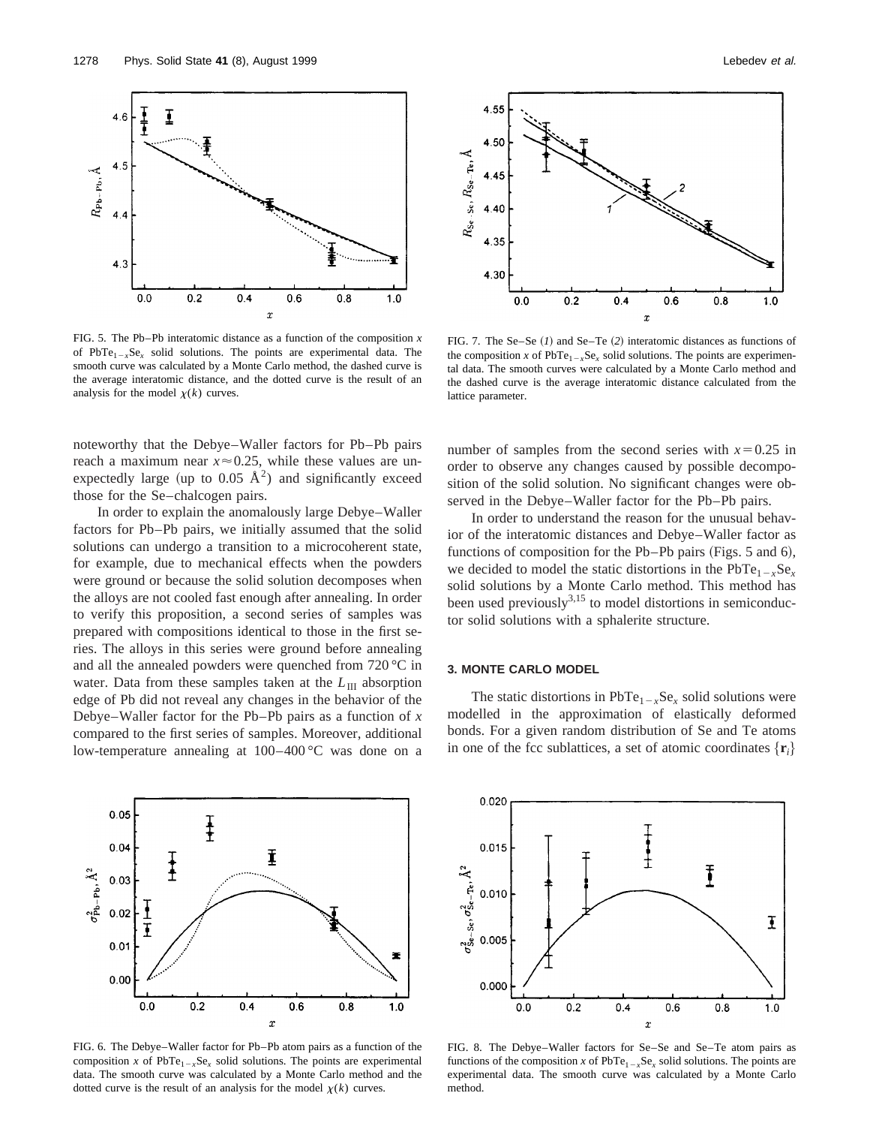

FIG. 5. The Pb–Pb interatomic distance as a function of the composition *x* of PbTe<sub>1-*x*</sub>Se<sub>*x*</sub> solid solutions. The points are experimental data. The smooth curve was calculated by a Monte Carlo method, the dashed curve is the average interatomic distance, and the dotted curve is the result of an analysis for the model  $\chi(k)$  curves.

noteworthy that the Debye–Waller factors for Pb–Pb pairs reach a maximum near  $x \approx 0.25$ , while these values are unexpectedly large (up to 0.05  $\AA^2$ ) and significantly exceed those for the Se–chalcogen pairs.

In order to explain the anomalously large Debye–Waller factors for Pb–Pb pairs, we initially assumed that the solid solutions can undergo a transition to a microcoherent state, for example, due to mechanical effects when the powders were ground or because the solid solution decomposes when the alloys are not cooled fast enough after annealing. In order to verify this proposition, a second series of samples was prepared with compositions identical to those in the first series. The alloys in this series were ground before annealing and all the annealed powders were quenched from 720 °C in water. Data from these samples taken at the  $L_{\text{III}}$  absorption edge of Pb did not reveal any changes in the behavior of the Debye–Waller factor for the Pb–Pb pairs as a function of *x* compared to the first series of samples. Moreover, additional low-temperature annealing at 100–400 °C was done on a



FIG. 6. The Debye–Waller factor for Pb–Pb atom pairs as a function of the composition *x* of  $PbTe_{1-x}Se_x$  solid solutions. The points are experimental data. The smooth curve was calculated by a Monte Carlo method and the dotted curve is the result of an analysis for the model  $\chi(k)$  curves.



FIG. 7. The Se–Se  $(1)$  and Se–Te  $(2)$  interatomic distances as functions of the composition *x* of  $PbTe_{1-x}Se_x$  solid solutions. The points are experimental data. The smooth curves were calculated by a Monte Carlo method and the dashed curve is the average interatomic distance calculated from the lattice parameter.

number of samples from the second series with  $x=0.25$  in order to observe any changes caused by possible decomposition of the solid solution. No significant changes were observed in the Debye–Waller factor for the Pb–Pb pairs.

In order to understand the reason for the unusual behavior of the interatomic distances and Debye–Waller factor as functions of composition for the Pb–Pb pairs (Figs. 5 and 6), we decided to model the static distortions in the  $PbTe_{1-x}Se_{x}$ solid solutions by a Monte Carlo method. This method has been used previously<sup>3,15</sup> to model distortions in semiconductor solid solutions with a sphalerite structure.

# **3. MONTE CARLO MODEL**

The static distortions in  $PbTe_{1-x}Se_x$  solid solutions were modelled in the approximation of elastically deformed bonds. For a given random distribution of Se and Te atoms in one of the fcc sublattices, a set of atomic coordinates  $\{r_i\}$ 



FIG. 8. The Debye–Waller factors for Se–Se and Se–Te atom pairs as functions of the composition *x* of  $PbTe_{1-x}Se_x$  solid solutions. The points are experimental data. The smooth curve was calculated by a Monte Carlo method.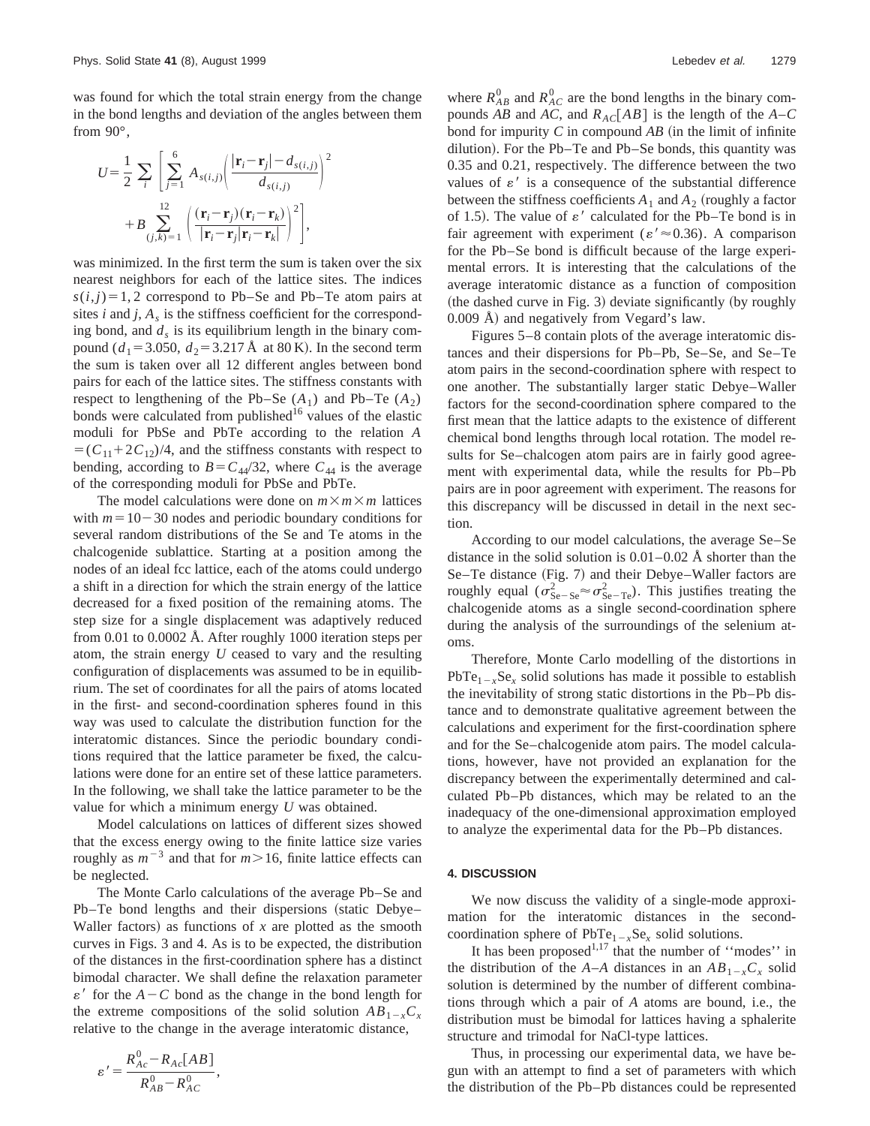was found for which the total strain energy from the change in the bond lengths and deviation of the angles between them from 90°,

$$
U = \frac{1}{2} \sum_{i} \left[ \sum_{j=1}^{6} A_{s(i,j)} \left( \frac{|\mathbf{r}_{i} - \mathbf{r}_{j}| - d_{s(i,j)}}{d_{s(i,j)}} \right)^{2} + B \sum_{(j,k)=1}^{12} \left( \frac{(\mathbf{r}_{i} - \mathbf{r}_{j})(\mathbf{r}_{i} - \mathbf{r}_{k})}{|\mathbf{r}_{i} - \mathbf{r}_{j}|\mathbf{r}_{i} - \mathbf{r}_{k}|} \right)^{2} \right],
$$

was minimized. In the first term the sum is taken over the six nearest neighbors for each of the lattice sites. The indices  $s(i,j)=1, 2$  correspond to Pb–Se and Pb–Te atom pairs at sites  $i$  and  $j$ ,  $A_s$  is the stiffness coefficient for the corresponding bond, and  $d_s$  is its equilibrium length in the binary compound ( $d_1$ =3.050,  $d_2$ =3.217 Å at 80 K). In the second term the sum is taken over all 12 different angles between bond pairs for each of the lattice sites. The stiffness constants with respect to lengthening of the Pb–Se  $(A_1)$  and Pb–Te  $(A_2)$ bonds were calculated from published<sup>16</sup> values of the elastic moduli for PbSe and PbTe according to the relation *A*  $=(C_{11}+2C_{12})/4$ , and the stiffness constants with respect to bending, according to  $B = C_{44}/32$ , where  $C_{44}$  is the average of the corresponding moduli for PbSe and PbTe.

The model calculations were done on  $m \times m \times m$  lattices with  $m=10-30$  nodes and periodic boundary conditions for several random distributions of the Se and Te atoms in the chalcogenide sublattice. Starting at a position among the nodes of an ideal fcc lattice, each of the atoms could undergo a shift in a direction for which the strain energy of the lattice decreased for a fixed position of the remaining atoms. The step size for a single displacement was adaptively reduced from 0.01 to 0.0002 Å. After roughly 1000 iteration steps per atom, the strain energy *U* ceased to vary and the resulting configuration of displacements was assumed to be in equilibrium. The set of coordinates for all the pairs of atoms located in the first- and second-coordination spheres found in this way was used to calculate the distribution function for the interatomic distances. Since the periodic boundary conditions required that the lattice parameter be fixed, the calculations were done for an entire set of these lattice parameters. In the following, we shall take the lattice parameter to be the value for which a minimum energy *U* was obtained.

Model calculations on lattices of different sizes showed that the excess energy owing to the finite lattice size varies roughly as  $m^{-3}$  and that for  $m > 16$ , finite lattice effects can be neglected.

The Monte Carlo calculations of the average Pb–Se and  $Pb$ –Te bond lengths and their dispersions (static Debye– Waller factors) as functions of  $x$  are plotted as the smooth curves in Figs. 3 and 4. As is to be expected, the distribution of the distances in the first-coordination sphere has a distinct bimodal character. We shall define the relaxation parameter  $\varepsilon'$  for the  $A-C$  bond as the change in the bond length for the extreme compositions of the solid solution  $AB_{1-x}C_x$ relative to the change in the average interatomic distance,

$$
\varepsilon' = \frac{R_{Ac}^0 - R_{Ac}[AB]}{R_{AB}^0 - R_{AC}^0},
$$

where  $R_{AB}^0$  and  $R_{AC}^0$  are the bond lengths in the binary compounds *AB* and *AC*, and  $R_{AC}[AB]$  is the length of the *A–C* bond for impurity  $C$  in compound  $AB$  (in the limit of infinite dilution). For the Pb–Te and Pb–Se bonds, this quantity was 0.35 and 0.21, respectively. The difference between the two values of  $\varepsilon'$  is a consequence of the substantial difference between the stiffness coefficients  $A_1$  and  $A_2$  (roughly a factor of 1.5). The value of  $\varepsilon'$  calculated for the Pb–Te bond is in fair agreement with experiment ( $\varepsilon' \approx 0.36$ ). A comparison for the Pb–Se bond is difficult because of the large experimental errors. It is interesting that the calculations of the average interatomic distance as a function of composition  $($ the dashed curve in Fig. 3 $)$  deviate significantly  $(by$  roughly  $0.009$  Å) and negatively from Vegard's law.

Figures 5–8 contain plots of the average interatomic distances and their dispersions for Pb–Pb, Se–Se, and Se–Te atom pairs in the second-coordination sphere with respect to one another. The substantially larger static Debye–Waller factors for the second-coordination sphere compared to the first mean that the lattice adapts to the existence of different chemical bond lengths through local rotation. The model results for Se–chalcogen atom pairs are in fairly good agreement with experimental data, while the results for Pb–Pb pairs are in poor agreement with experiment. The reasons for this discrepancy will be discussed in detail in the next section.

According to our model calculations, the average Se–Se distance in the solid solution is 0.01–0.02 Å shorter than the Se–Te distance (Fig. 7) and their Debye–Waller factors are roughly equal  $(\sigma_{\text{Se}-\text{Se}}^2 \approx \sigma_{\text{Se}-\text{Te}}^2)$ . This justifies treating the chalcogenide atoms as a single second-coordination sphere during the analysis of the surroundings of the selenium atoms.

Therefore, Monte Carlo modelling of the distortions in PbTe<sub>1-*x*</sub>Se<sub>*x*</sub> solid solutions has made it possible to establish the inevitability of strong static distortions in the Pb–Pb distance and to demonstrate qualitative agreement between the calculations and experiment for the first-coordination sphere and for the Se–chalcogenide atom pairs. The model calculations, however, have not provided an explanation for the discrepancy between the experimentally determined and calculated Pb–Pb distances, which may be related to an the inadequacy of the one-dimensional approximation employed to analyze the experimental data for the Pb–Pb distances.

### **4. DISCUSSION**

We now discuss the validity of a single-mode approximation for the interatomic distances in the secondcoordination sphere of  $PbTe_{1-x}Se_x$  solid solutions.

It has been proposed<sup>1,17</sup> that the number of "modes" in the distribution of the *A*–*A* distances in an  $AB_{1-x}C_x$  solid solution is determined by the number of different combinations through which a pair of *A* atoms are bound, i.e., the distribution must be bimodal for lattices having a sphalerite structure and trimodal for NaCl-type lattices.

Thus, in processing our experimental data, we have begun with an attempt to find a set of parameters with which the distribution of the Pb–Pb distances could be represented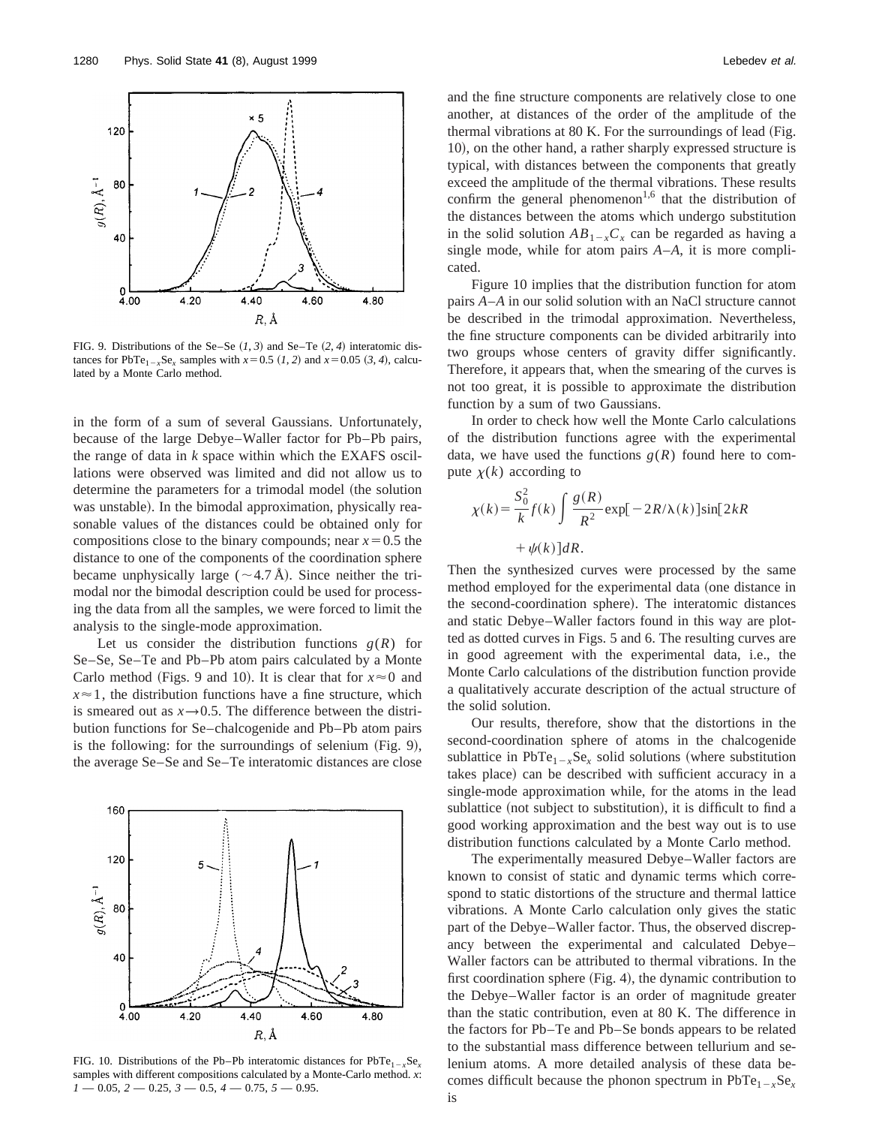

FIG. 9. Distributions of the Se–Se  $(1, 3)$  and Se–Te  $(2, 4)$  interatomic distances for PbTe<sub>1-x</sub>Se<sub>x</sub> samples with  $x=0.5$  (1, 2) and  $x=0.05$  (3, 4), calculated by a Monte Carlo method.

in the form of a sum of several Gaussians. Unfortunately, because of the large Debye–Waller factor for Pb–Pb pairs, the range of data in *k* space within which the EXAFS oscillations were observed was limited and did not allow us to determine the parameters for a trimodal model (the solution was unstable). In the bimodal approximation, physically reasonable values of the distances could be obtained only for compositions close to the binary compounds; near  $x=0.5$  the distance to one of the components of the coordination sphere became unphysically large ( $\sim$ 4.7 Å). Since neither the trimodal nor the bimodal description could be used for processing the data from all the samples, we were forced to limit the analysis to the single-mode approximation.

Let us consider the distribution functions  $g(R)$  for Se–Se, Se–Te and Pb–Pb atom pairs calculated by a Monte Carlo method (Figs. 9 and 10). It is clear that for  $x \approx 0$  and  $x \approx 1$ , the distribution functions have a fine structure, which is smeared out as  $x \rightarrow 0.5$ . The difference between the distribution functions for Se–chalcogenide and Pb–Pb atom pairs is the following: for the surroundings of selenium  $(Fig. 9)$ , the average Se–Se and Se–Te interatomic distances are close



FIG. 10. Distributions of the Pb–Pb interatomic distances for  $PbTe_{1-x}Se_{x}$ samples with different compositions calculated by a Monte-Carlo method. *x*: *1* — 0.05, *2* — 0.25, *3* — 0.5, *4* — 0.75, *5* — 0.95.

and the fine structure components are relatively close to one another, at distances of the order of the amplitude of the thermal vibrations at  $80$  K. For the surroundings of lead (Fig. 10), on the other hand, a rather sharply expressed structure is typical, with distances between the components that greatly exceed the amplitude of the thermal vibrations. These results confirm the general phenomenon<sup>1,6</sup> that the distribution of the distances between the atoms which undergo substitution in the solid solution  $AB_{1-x}C_x$  can be regarded as having a single mode, while for atom pairs *A*–*A*, it is more complicated.

Figure 10 implies that the distribution function for atom pairs *A*–*A* in our solid solution with an NaCl structure cannot be described in the trimodal approximation. Nevertheless, the fine structure components can be divided arbitrarily into two groups whose centers of gravity differ significantly. Therefore, it appears that, when the smearing of the curves is not too great, it is possible to approximate the distribution function by a sum of two Gaussians.

In order to check how well the Monte Carlo calculations of the distribution functions agree with the experimental data, we have used the functions  $g(R)$  found here to compute  $\chi(k)$  according to

$$
\chi(k) = \frac{S_0^2}{k} f(k) \int \frac{g(R)}{R^2} \exp[-2R/\lambda(k)] \sin[2kR + \psi(k)]dR.
$$

Then the synthesized curves were processed by the same method employed for the experimental data (one distance in the second-coordination sphere). The interatomic distances and static Debye–Waller factors found in this way are plotted as dotted curves in Figs. 5 and 6. The resulting curves are in good agreement with the experimental data, i.e., the Monte Carlo calculations of the distribution function provide a qualitatively accurate description of the actual structure of the solid solution.

Our results, therefore, show that the distortions in the second-coordination sphere of atoms in the chalcogenide sublattice in  $PbTe_{1-x}Se_x$  solid solutions (where substitution takes place) can be described with sufficient accuracy in a single-mode approximation while, for the atoms in the lead sublattice (not subject to substitution), it is difficult to find a good working approximation and the best way out is to use distribution functions calculated by a Monte Carlo method.

The experimentally measured Debye–Waller factors are known to consist of static and dynamic terms which correspond to static distortions of the structure and thermal lattice vibrations. A Monte Carlo calculation only gives the static part of the Debye–Waller factor. Thus, the observed discrepancy between the experimental and calculated Debye– Waller factors can be attributed to thermal vibrations. In the first coordination sphere  $(Fig. 4)$ , the dynamic contribution to the Debye–Waller factor is an order of magnitude greater than the static contribution, even at 80 K. The difference in the factors for Pb–Te and Pb–Se bonds appears to be related to the substantial mass difference between tellurium and selenium atoms. A more detailed analysis of these data becomes difficult because the phonon spectrum in  $PbTe_{1-x}Se_{x}$ is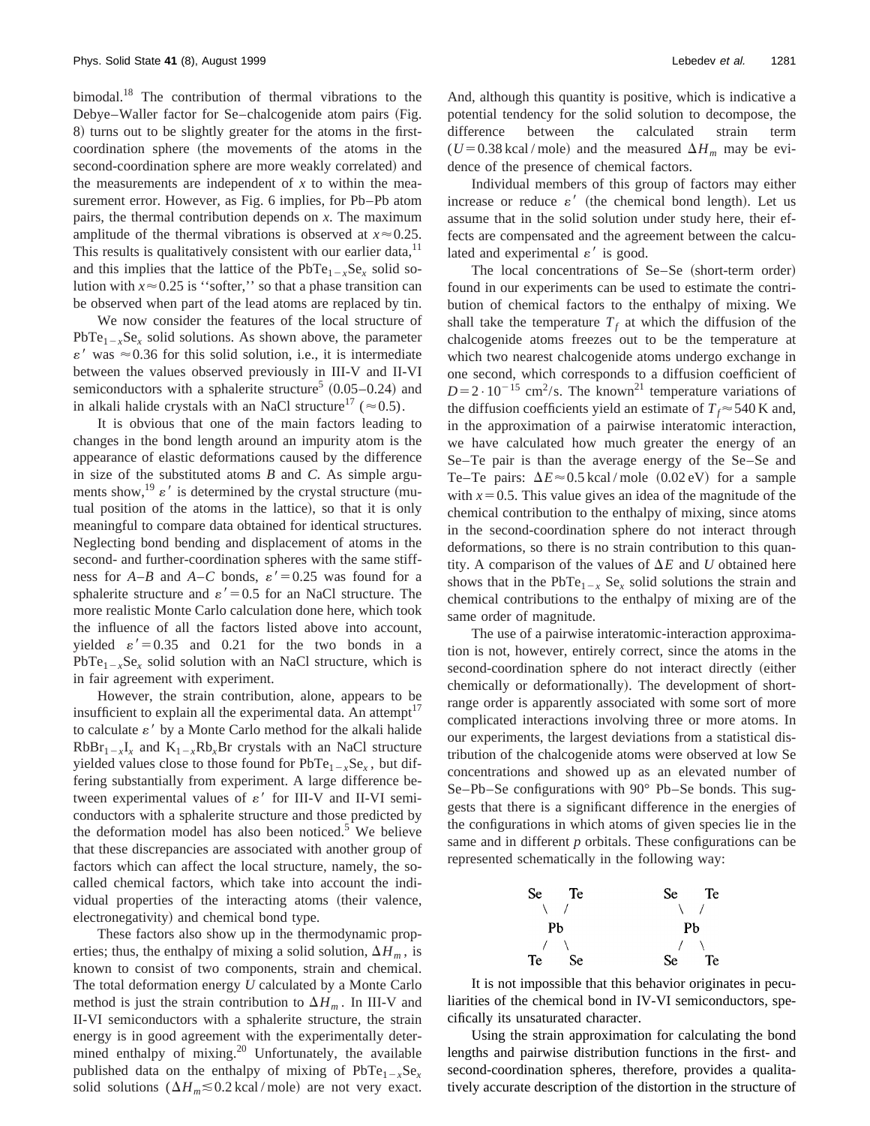bimodal.<sup>18</sup> The contribution of thermal vibrations to the Debye–Waller factor for Se–chalcogenide atom pairs (Fig. 8) turns out to be slightly greater for the atoms in the firstcoordination sphere (the movements of the atoms in the second-coordination sphere are more weakly correlated) and the measurements are independent of *x* to within the measurement error. However, as Fig. 6 implies, for Pb–Pb atom pairs, the thermal contribution depends on *x*. The maximum amplitude of the thermal vibrations is observed at  $x \approx 0.25$ . This results is qualitatively consistent with our earlier data,  $11$ and this implies that the lattice of the  $PbTe_{1-x}Se_{x}$  solid solution with  $x \approx 0.25$  is "softer," so that a phase transition can be observed when part of the lead atoms are replaced by tin.

We now consider the features of the local structure of  $PbTe_{1-x}Se_{x}$  solid solutions. As shown above, the parameter  $\varepsilon'$  was  $\approx 0.36$  for this solid solution, i.e., it is intermediate between the values observed previously in III-V and II-VI semiconductors with a sphalerite structure<sup>5</sup>  $(0.05-0.24)$  and in alkali halide crystals with an NaCl structure<sup>17</sup> ( $\approx$  0.5).

It is obvious that one of the main factors leading to changes in the bond length around an impurity atom is the appearance of elastic deformations caused by the difference in size of the substituted atoms *B* and *C*. As simple arguments show,<sup>19</sup>  $\varepsilon'$  is determined by the crystal structure (mutual position of the atoms in the lattice), so that it is only meaningful to compare data obtained for identical structures. Neglecting bond bending and displacement of atoms in the second- and further-coordination spheres with the same stiffness for  $A-B$  and  $A-C$  bonds,  $\varepsilon' = 0.25$  was found for a sphalerite structure and  $\varepsilon' = 0.5$  for an NaCl structure. The more realistic Monte Carlo calculation done here, which took the influence of all the factors listed above into account, yielded  $\varepsilon' = 0.35$  and 0.21 for the two bonds in a  $PbTe_{1-x}Se_x$  solid solution with an NaCl structure, which is in fair agreement with experiment.

However, the strain contribution, alone, appears to be insufficient to explain all the experimental data. An attempt $17$ to calculate  $\varepsilon'$  by a Monte Carlo method for the alkali halide  $RbBr_{1-x}I_x$  and  $K_{1-x}Rb_xBr$  crystals with an NaCl structure yielded values close to those found for  $PbTe_{1-x}Se_{x}$ , but differing substantially from experiment. A large difference between experimental values of  $\varepsilon'$  for III-V and II-VI semiconductors with a sphalerite structure and those predicted by the deformation model has also been noticed. $5$  We believe that these discrepancies are associated with another group of factors which can affect the local structure, namely, the socalled chemical factors, which take into account the individual properties of the interacting atoms (their valence, electronegativity) and chemical bond type.

These factors also show up in the thermodynamic properties; thus, the enthalpy of mixing a solid solution,  $\Delta H_m$ , is known to consist of two components, strain and chemical. The total deformation energy *U* calculated by a Monte Carlo method is just the strain contribution to  $\Delta H_m$ . In III-V and II-VI semiconductors with a sphalerite structure, the strain energy is in good agreement with the experimentally determined enthalpy of mixing.<sup>20</sup> Unfortunately, the available published data on the enthalpy of mixing of  $PbTe_{1-x}Se_x$ solid solutions  $(\Delta H_m \le 0.2 \text{ kcal/mol})$  are not very exact. And, although this quantity is positive, which is indicative a potential tendency for the solid solution to decompose, the difference between the calculated strain term  $(U=0.38 \text{ kcal/mol})$  and the measured  $\Delta H_m$  may be evidence of the presence of chemical factors.

Individual members of this group of factors may either increase or reduce  $\varepsilon'$  (the chemical bond length). Let us assume that in the solid solution under study here, their effects are compensated and the agreement between the calculated and experimental  $\varepsilon'$  is good.

The local concentrations of  $Se-Se$  (short-term order) found in our experiments can be used to estimate the contribution of chemical factors to the enthalpy of mixing. We shall take the temperature  $T_f$  at which the diffusion of the chalcogenide atoms freezes out to be the temperature at which two nearest chalcogenide atoms undergo exchange in one second, which corresponds to a diffusion coefficient of  $D=2 \cdot 10^{-15}$  cm<sup>2</sup>/s. The known<sup>21</sup> temperature variations of the diffusion coefficients yield an estimate of  $T_f \approx 540$  K and, in the approximation of a pairwise interatomic interaction, we have calculated how much greater the energy of an Se–Te pair is than the average energy of the Se–Se and Te–Te pairs:  $\Delta E \approx 0.5$  kcal/mole (0.02 eV) for a sample with  $x=0.5$ . This value gives an idea of the magnitude of the chemical contribution to the enthalpy of mixing, since atoms in the second-coordination sphere do not interact through deformations, so there is no strain contribution to this quantity. A comparison of the values of  $\Delta E$  and *U* obtained here shows that in the PbTe<sub>1-*x*</sub> Se<sub>*x*</sub> solid solutions the strain and chemical contributions to the enthalpy of mixing are of the same order of magnitude.

The use of a pairwise interatomic-interaction approximation is not, however, entirely correct, since the atoms in the second-coordination sphere do not interact directly (either chemically or deformationally). The development of shortrange order is apparently associated with some sort of more complicated interactions involving three or more atoms. In our experiments, the largest deviations from a statistical distribution of the chalcogenide atoms were observed at low Se concentrations and showed up as an elevated number of Se–Pb–Se configurations with 90° Pb–Se bonds. This suggests that there is a significant difference in the energies of the configurations in which atoms of given species lie in the same and in different *p* orbitals. These configurations can be represented schematically in the following way:



It is not impossible that this behavior originates in peculiarities of the chemical bond in IV-VI semiconductors, specifically its unsaturated character.

Using the strain approximation for calculating the bond lengths and pairwise distribution functions in the first- and second-coordination spheres, therefore, provides a qualitatively accurate description of the distortion in the structure of